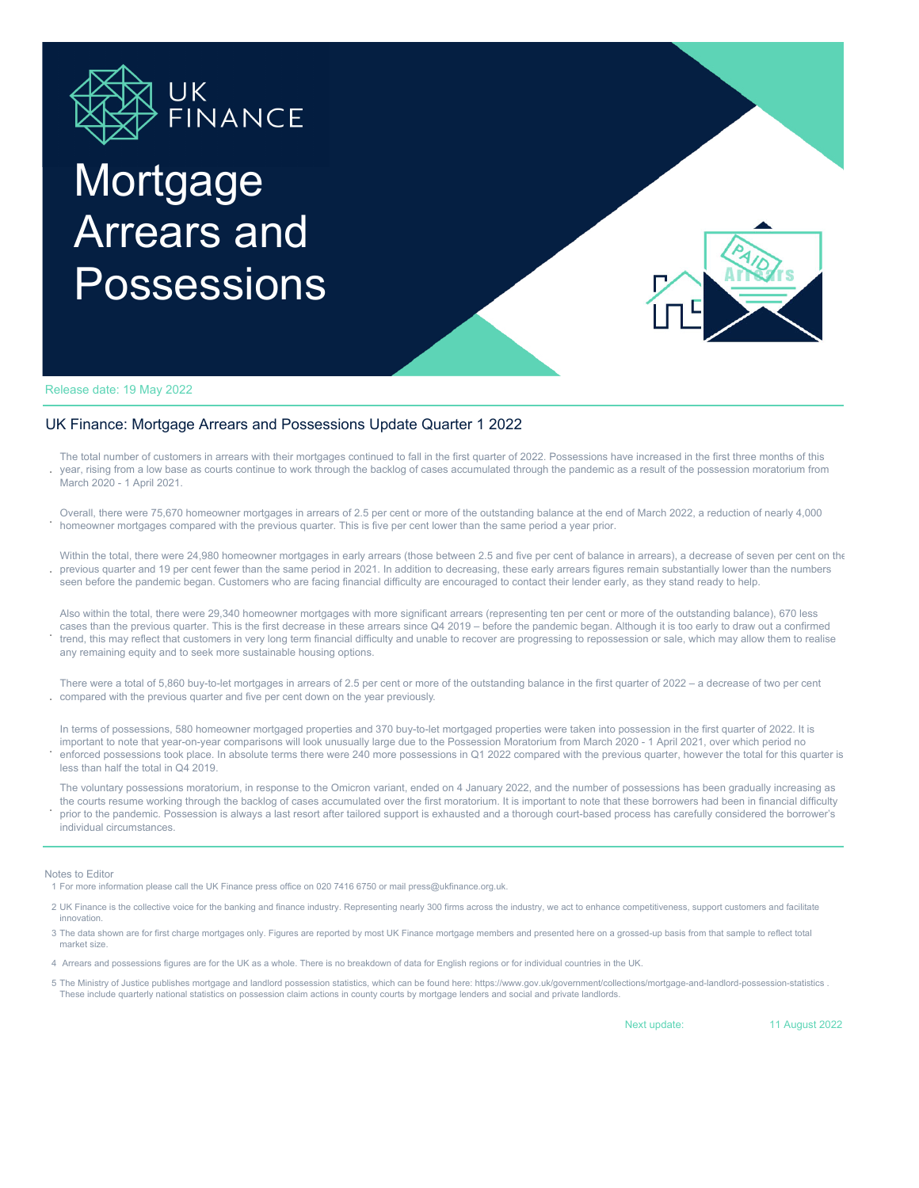

# Mortgage Arrears and Possessions



Release date: 19 May 2022

### UK Finance: Mortgage Arrears and Possessions Update Quarter 1 2022

**.** The total number of customers in arrears with their mortgages continued to fall in the first quarter of 2022. Possessions have increased in the first three months of this year, rising from a low base as courts continue to work through the backlog of cases accumulated through the pandemic as a result of the possession moratorium from March 2020 - 1 April 2021.

**.** Overall, there were 75,670 homeowner mortgages in arrears of 2.5 per cent or more of the outstanding balance at the end of March 2022, a reduction of nearly 4,000 homeowner mortgages compared with the previous quarter. This is five per cent lower than the same period a year prior.

**.** Within the total, there were 24,980 homeowner mortgages in early arrears (those between 2.5 and five per cent of balance in arrears), a decrease of seven per cent on the previous quarter and 19 per cent fewer than the same period in 2021. In addition to decreasing, these early arrears figures remain substantially lower than the numbers seen before the pandemic began. Customers who are facing financial difficulty are encouraged to contact their lender early, as they stand ready to help.

**.** Also within the total, there were 29,340 homeowner mortgages with more significant arrears (representing ten per cent or more of the outstanding balance), 670 less cases than the previous quarter. This is the first decrease in these arrears since Q4 2019 – before the pandemic began. Although it is too early to draw out a confirmed trend, this may reflect that customers in very long term financial difficulty and unable to recover are progressing to repossession or sale, which may allow them to realise any remaining equity and to seek more sustainable housing options.

**.** There were a total of 5,860 buy-to-let mortgages in arrears of 2.5 per cent or more of the outstanding balance in the first quarter of 2022 – a decrease of two per cent compared with the previous quarter and five per cent down on the year previously.

**.** In terms of possessions, 580 homeowner mortgaged properties and 370 buy-to-let mortgaged properties were taken into possession in the first quarter of 2022. It is important to note that year-on-year comparisons will look unusually large due to the Possession Moratorium from March 2020 - 1 April 2021, over which period no enforced possessions took place. In absolute terms there were 240 more possessions in Q1 2022 compared with the previous quarter, however the total for this quarter is less than half the total in Q4 2019.

**.** The voluntary possessions moratorium, in response to the Omicron variant, ended on 4 January 2022, and the number of possessions has been gradually increasing as the courts resume working through the backlog of cases accumulated over the first moratorium. It is important to note that these borrowers had been in financial difficulty prior to the pandemic. Possession is always a last resort after tailored support is exhausted and a thorough court-based process has carefully considered the borrower's individual circumstances.

#### Notes to Editor

1 For more information please call the UK Finance press office on 020 7416 6750 or mail press@ukfinance.org.uk.

- 2 UK Finance is the collective voice for the banking and finance industry. Representing nearly 300 firms across the industry, we act to enhance competitiveness, support customers and facilitate innovation.
- 3 The data shown are for first charge mortgages only. Figures are reported by most UK Finance mortgage members and presented here on a grossed-up basis from that sample to reflect total market size.
- 4 Arrears and possessions figures are for the UK as a whole. There is no breakdown of data for English regions or for individual countries in the UK.
- 5 The Ministry of Justice publishes mortgage and landlord possession statistics, which can be found here: https://www.gov.uk/government/collections/mortgage-and-landlord-possession-statistics . These include quarterly national statistics on possession claim actions in county courts by mortgage lenders and social and private landlords.

Next update:

11 August 2022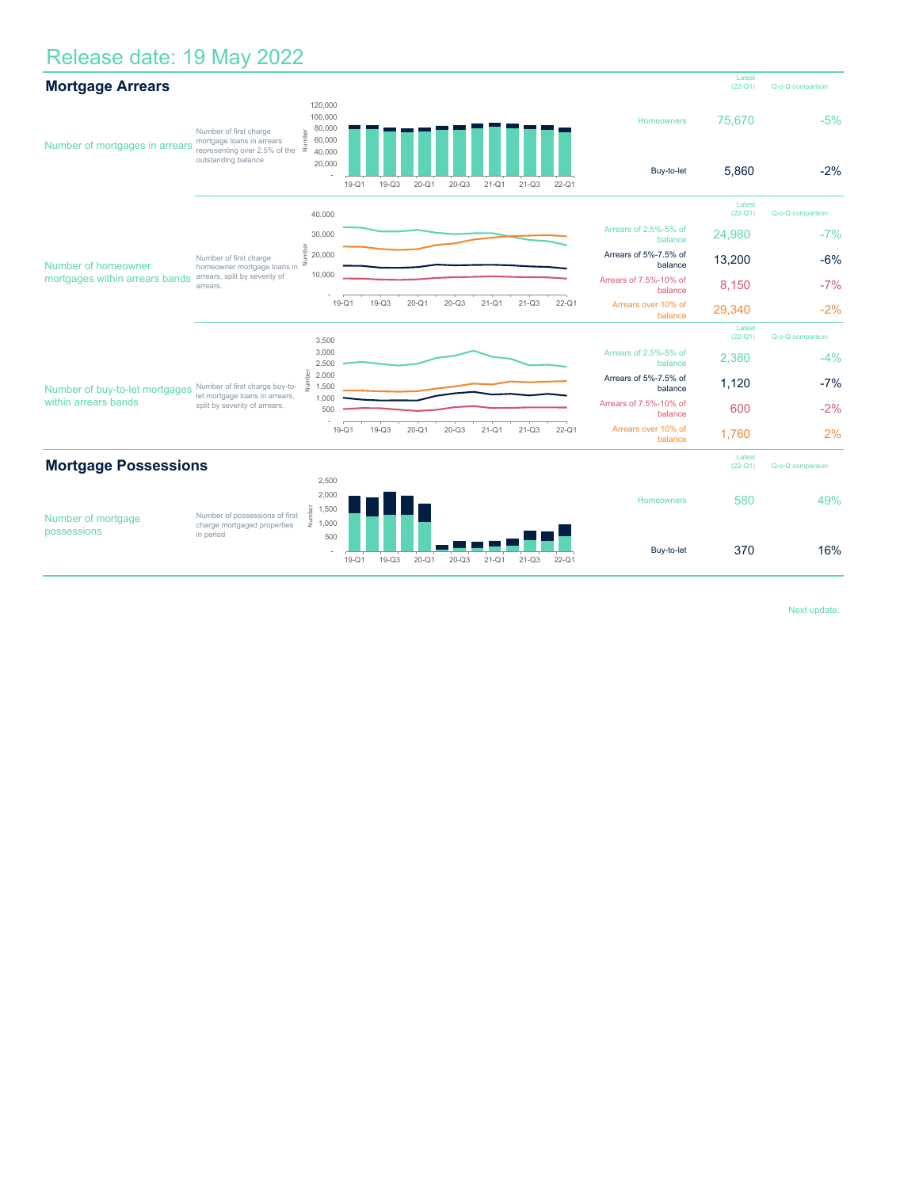## Release date: 19 May 2022

| <b>Mortgage Arrears</b>                                |                                                                                                    |                                                  |         |           |           |           |                     |                  |                                  |                                   | Latest<br>$(22-Q1)$ | Q-o-Q comparison |  |  |
|--------------------------------------------------------|----------------------------------------------------------------------------------------------------|--------------------------------------------------|---------|-----------|-----------|-----------|---------------------|------------------|----------------------------------|-----------------------------------|---------------------|------------------|--|--|
| Number of mortgages in arrears                         | Number of first charge<br>mortgage loans in arrears                                                | 120,000<br>100,000<br>80,000<br>Number<br>60,000 |         |           |           |           |                     |                  |                                  | Homeowners                        | 75,670              | $-5%$            |  |  |
|                                                        | representing over 2.5% of the<br>outstanding balance                                               | 40,000<br>20,000                                 | $19-Q1$ | $19-Q3$   | $20 - Q1$ | $20 - Q3$ | $21-Q1$             | $21 - Q3$        | $22 - Q1$                        | Buy-to-let                        | 5,860               | $-2%$            |  |  |
|                                                        |                                                                                                    | 40,000                                           |         |           |           |           |                     |                  |                                  |                                   | Latest<br>$(22-Q1)$ | Q-o-Q comparison |  |  |
| Number of homeowner<br>mortgages within arrears bands  | Number of first charge<br>homeowner mortgage loans in<br>arrears, split by severity of<br>arrears. | 30,000                                           |         |           |           |           |                     |                  |                                  | Arrears of 2.5%-5% of<br>balance  | 24,980              | $-7%$            |  |  |
|                                                        |                                                                                                    | 놂<br>Ê<br>20,000<br>Ξ                            |         |           |           |           |                     |                  | Arrears of 5%-7.5% of<br>balance | 13,200                            | $-6%$               |                  |  |  |
|                                                        |                                                                                                    | 10,000                                           |         |           |           |           |                     |                  |                                  | Arrears of 7.5%-10% of<br>balance | 8,150               | $-7%$            |  |  |
|                                                        |                                                                                                    |                                                  | $19-Q1$ | $19-Q3$   | $20 - Q1$ | $20 - Q3$ | $21-Q1$             | $21 - Q3$        | $22-Q1$                          | Arrears over 10% of<br>balance    | 29,340              | $-2%$            |  |  |
|                                                        |                                                                                                    | 3,500                                            |         |           |           |           |                     |                  |                                  |                                   | Latest<br>$(22-Q1)$ | Q-o-Q comparison |  |  |
| Number of buy-to-let mortgages<br>within arrears bands | Number of first charge buy-to-<br>let mortgage loans in arrears,<br>split by severity of arrears.  | 3,000<br>2,500                                   |         |           |           |           |                     |                  |                                  | Arrears of 2.5%-5% of<br>balance  | 2,380               | $-4%$            |  |  |
|                                                        |                                                                                                    | <u>se</u><br>2,000<br>長<br>1,500                 |         |           |           |           |                     |                  |                                  | Arrears of 5%-7.5% of<br>balance  | 1,120               | $-7%$            |  |  |
|                                                        |                                                                                                    | 1,000<br>500                                     |         |           |           |           |                     |                  |                                  | Arrears of 7.5%-10% of<br>balance | 600                 | $-2%$            |  |  |
|                                                        |                                                                                                    |                                                  | 19-Q1   | $19 - Q3$ | $20 - Q1$ | $20 - Q3$ | $21 - Q1$           | $21 - Q3$        | $22 - Q1$                        | Arrears over 10% of<br>balance    | 1,760               | 2%               |  |  |
| <b>Mortgage Possessions</b>                            |                                                                                                    |                                                  |         |           |           |           | Latest<br>$(22-Q1)$ | Q-o-Q comparison |                                  |                                   |                     |                  |  |  |
| Number of mortgage<br>possessions                      | Number of possessions of first<br>charge mortgaged properties<br>in period                         | 2,500<br>2,000<br>Number<br>1,500                |         |           |           |           |                     |                  |                                  | Homeowners                        | 580                 | 49%              |  |  |
|                                                        |                                                                                                    | 1,000<br>500                                     | $19-Q1$ | $19-Q3$   | $20 - Q1$ | $20 - Q3$ | $21 - Q1$           | $21 - Q3$        | $22 - Q1$                        | Buy-to-let                        | 370                 | 16%              |  |  |

Next update: